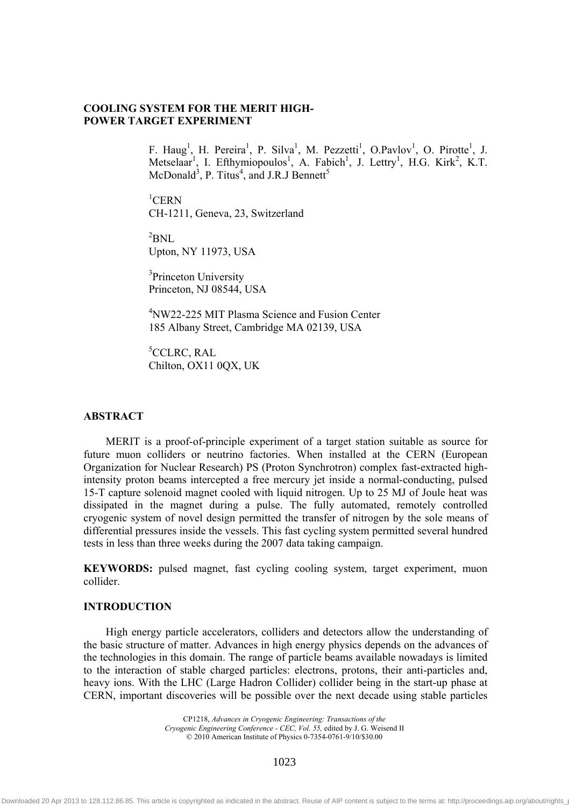# **COOLING SYSTEM FOR THE MERIT HIGH-POWER TARGET EXPERIMENT**

F. Haug<sup>1</sup>, H. Pereira<sup>1</sup>, P. Silva<sup>1</sup>, M. Pezzetti<sup>1</sup>, O.Pavlov<sup>1</sup>, O. Pirotte<sup>1</sup>, J. Metselaar<sup>1</sup>, I. Efthymiopoulos<sup>1</sup>, A. Fabich<sup>1</sup>, J. Lettry<sup>1</sup>, H.G. Kirk<sup>2</sup>, K.T. McDonald<sup>3</sup>, P. Titus<sup>4</sup>, and J.R.J Bennett<sup>5</sup>

 ${}^{1}$ CERN CH-1211, Geneva, 23, Switzerland

 ${}^{2}$ BNL Upton, NY 11973, USA

<sup>3</sup>Princeton University Princeton, NJ 08544, USA

4 NW22-225 MIT Plasma Science and Fusion Center 185 Albany Street, Cambridge MA 02139, USA

5 CCLRC, RAL Chilton, OX11 0QX, UK

#### **ABSTRACT**

MERIT is a proof-of-principle experiment of a target station suitable as source for future muon colliders or neutrino factories. When installed at the CERN (European Organization for Nuclear Research) PS (Proton Synchrotron) complex fast-extracted highintensity proton beams intercepted a free mercury jet inside a normal-conducting, pulsed 15-T capture solenoid magnet cooled with liquid nitrogen. Up to 25 MJ of Joule heat was dissipated in the magnet during a pulse. The fully automated, remotely controlled cryogenic system of novel design permitted the transfer of nitrogen by the sole means of differential pressures inside the vessels. This fast cycling system permitted several hundred tests in less than three weeks during the 2007 data taking campaign.

**KEYWORDS:** pulsed magnet, fast cycling cooling system, target experiment, muon collider.

#### **INTRODUCTION**  CONICTION TO BE INSERTED ON THE FIRST PAGE OF EACH OF EACH OF EACH OF EACH OF EACH OF EACH OF EACH OF EACH OF EACH OF EACH OF EACH OF EACH OF EACH OF EACH OF EACH OF EACH OF EACH OF EACH OF EACH OF EACH OF EACH OF EACH OF PAPER EXCEPT FOR ARTICLES ON pp. 18*–*25, 26*–*33, 68*–*75,

High energy particle accelerators, colliders and detectors allow the understanding of the basic structure of matter. Advances in high energy physics depends on the advances of the technologies in this domain. The range of particle beams available nowadays is limited to the interaction of stable charged particles: electrons, protons, their anti-particles and, heavy ions. With the LHC (Large Hadron Collider) collider being in the start-up phase at CERN, important discoveries will be possible over the next decade using stable particles  $logh$  energy particle accelerators, colliders and detectors allow the understand

> CP1218, *Advances in Cryogenic Engineering: Transactions of the Cryogenic Engineering Conference - CEC, Vol. 55,* edited by J. G. Weisend II © 2010 American Institute of Physics 0-7354-0761-9/10/\$30.00

> > 1023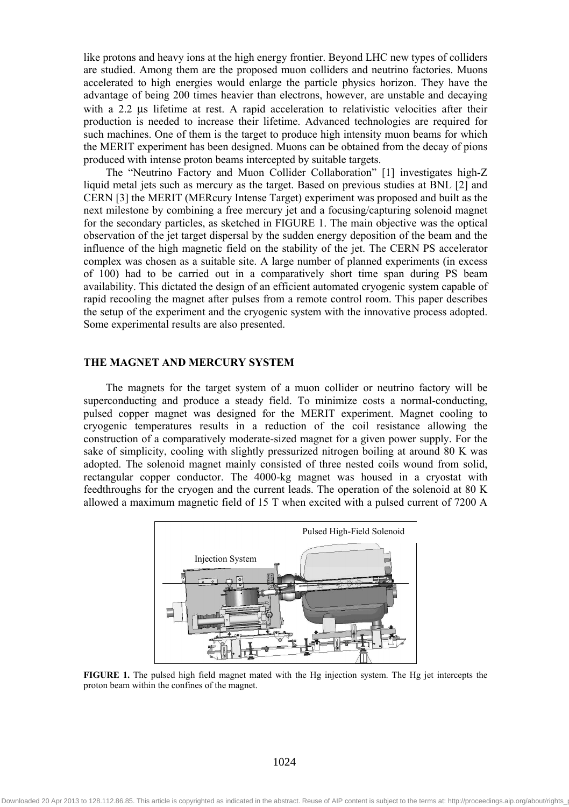like protons and heavy ions at the high energy frontier. Beyond LHC new types of colliders are studied. Among them are the proposed muon colliders and neutrino factories. Muons accelerated to high energies would enlarge the particle physics horizon. They have the advantage of being 200 times heavier than electrons, however, are unstable and decaying with a 2.2 us lifetime at rest. A rapid acceleration to relativistic velocities after their production is needed to increase their lifetime. Advanced technologies are required for such machines. One of them is the target to produce high intensity muon beams for which the MERIT experiment has been designed. Muons can be obtained from the decay of pions produced with intense proton beams intercepted by suitable targets.

The "Neutrino Factory and Muon Collider Collaboration" [1] investigates high-Z liquid metal jets such as mercury as the target. Based on previous studies at BNL [2] and CERN [3] the MERIT (MERcury Intense Target) experiment was proposed and built as the next milestone by combining a free mercury jet and a focusing/capturing solenoid magnet for the secondary particles, as sketched in FIGURE 1. The main objective was the optical observation of the jet target dispersal by the sudden energy deposition of the beam and the influence of the high magnetic field on the stability of the jet. The CERN PS accelerator complex was chosen as a suitable site. A large number of planned experiments (in excess of 100) had to be carried out in a comparatively short time span during PS beam availability. This dictated the design of an efficient automated cryogenic system capable of rapid recooling the magnet after pulses from a remote control room. This paper describes the setup of the experiment and the cryogenic system with the innovative process adopted. Some experimental results are also presented.

# **THE MAGNET AND MERCURY SYSTEM**

The magnets for the target system of a muon collider or neutrino factory will be superconducting and produce a steady field. To minimize costs a normal-conducting, pulsed copper magnet was designed for the MERIT experiment. Magnet cooling to cryogenic temperatures results in a reduction of the coil resistance allowing the construction of a comparatively moderate-sized magnet for a given power supply. For the sake of simplicity, cooling with slightly pressurized nitrogen boiling at around 80 K was adopted. The solenoid magnet mainly consisted of three nested coils wound from solid, rectangular copper conductor. The 4000-kg magnet was housed in a cryostat with feedthroughs for the cryogen and the current leads. The operation of the solenoid at 80 K allowed a maximum magnetic field of 15 T when excited with a pulsed current of 7200 A



**FIGURE 1.** The pulsed high field magnet mated with the Hg injection system. The Hg jet intercepts the proton beam within the confines of the magnet.

1024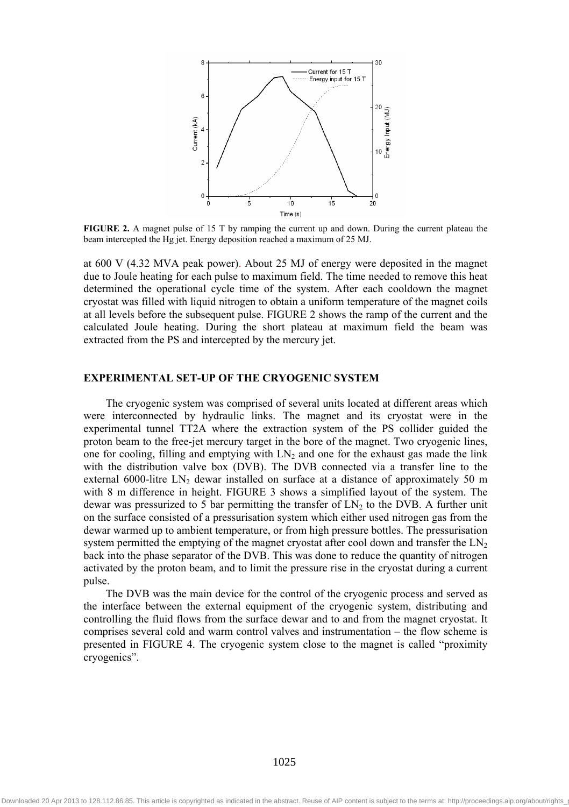

**FIGURE 2.** A magnet pulse of 15 T by ramping the current up and down. During the current plateau the beam intercepted the Hg jet. Energy deposition reached a maximum of 25 MJ.

at 600 V (4.32 MVA peak power). About 25 MJ of energy were deposited in the magnet due to Joule heating for each pulse to maximum field. The time needed to remove this heat determined the operational cycle time of the system. After each cooldown the magnet cryostat was filled with liquid nitrogen to obtain a uniform temperature of the magnet coils at all levels before the subsequent pulse. FIGURE 2 shows the ramp of the current and the calculated Joule heating. During the short plateau at maximum field the beam was extracted from the PS and intercepted by the mercury jet.

# **EXPERIMENTAL SET-UP OF THE CRYOGENIC SYSTEM**

The cryogenic system was comprised of several units located at different areas which were interconnected by hydraulic links. The magnet and its cryostat were in the experimental tunnel TT2A where the extraction system of the PS collider guided the proton beam to the free-jet mercury target in the bore of the magnet. Two cryogenic lines, one for cooling, filling and emptying with  $LN_2$  and one for the exhaust gas made the link with the distribution valve box (DVB). The DVB connected via a transfer line to the external 6000-litre LN<sub>2</sub> dewar installed on surface at a distance of approximately 50 m with 8 m difference in height. FIGURE 3 shows a simplified layout of the system. The dewar was pressurized to 5 bar permitting the transfer of  $LN<sub>2</sub>$  to the DVB. A further unit on the surface consisted of a pressurisation system which either used nitrogen gas from the dewar warmed up to ambient temperature, or from high pressure bottles. The pressurisation system permitted the emptying of the magnet cryostat after cool down and transfer the  $LN<sub>2</sub>$ back into the phase separator of the DVB. This was done to reduce the quantity of nitrogen activated by the proton beam, and to limit the pressure rise in the cryostat during a current pulse.

The DVB was the main device for the control of the cryogenic process and served as the interface between the external equipment of the cryogenic system, distributing and controlling the fluid flows from the surface dewar and to and from the magnet cryostat. It comprises several cold and warm control valves and instrumentation – the flow scheme is presented in FIGURE 4. The cryogenic system close to the magnet is called "proximity cryogenics".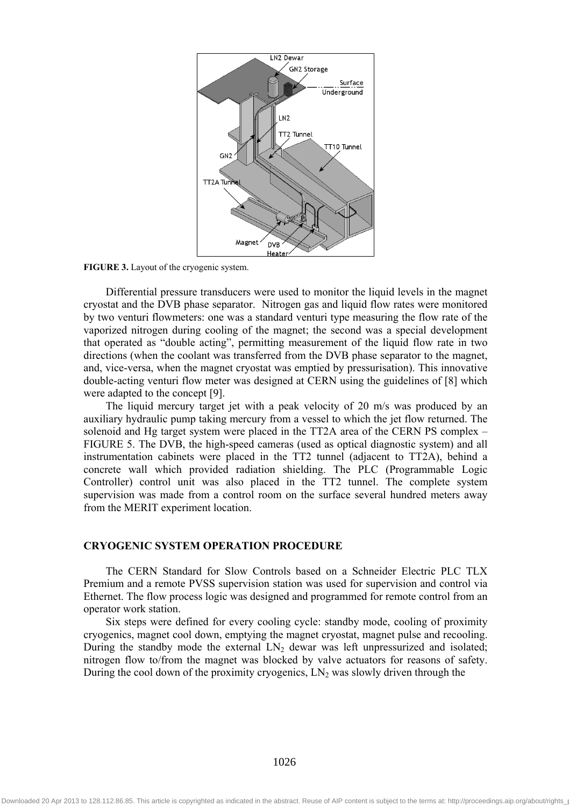

**FIGURE 3.** Layout of the cryogenic system.

Differential pressure transducers were used to monitor the liquid levels in the magnet cryostat and the DVB phase separator. Nitrogen gas and liquid flow rates were monitored by two venturi flowmeters: one was a standard venturi type measuring the flow rate of the vaporized nitrogen during cooling of the magnet; the second was a special development that operated as "double acting", permitting measurement of the liquid flow rate in two directions (when the coolant was transferred from the DVB phase separator to the magnet, and, vice-versa, when the magnet cryostat was emptied by pressurisation). This innovative double-acting venturi flow meter was designed at CERN using the guidelines of [8] which were adapted to the concept [9].

The liquid mercury target jet with a peak velocity of 20 m/s was produced by an auxiliary hydraulic pump taking mercury from a vessel to which the jet flow returned. The solenoid and Hg target system were placed in the TT2A area of the CERN PS complex – FIGURE 5. The DVB, the high-speed cameras (used as optical diagnostic system) and all instrumentation cabinets were placed in the TT2 tunnel (adjacent to TT2A), behind a concrete wall which provided radiation shielding. The PLC (Programmable Logic Controller) control unit was also placed in the TT2 tunnel. The complete system supervision was made from a control room on the surface several hundred meters away from the MERIT experiment location.

#### **CRYOGENIC SYSTEM OPERATION PROCEDURE**

The CERN Standard for Slow Controls based on a Schneider Electric PLC TLX Premium and a remote PVSS supervision station was used for supervision and control via Ethernet. The flow process logic was designed and programmed for remote control from an operator work station.

Six steps were defined for every cooling cycle: standby mode, cooling of proximity cryogenics, magnet cool down, emptying the magnet cryostat, magnet pulse and recooling. During the standby mode the external  $LN<sub>2</sub>$  dewar was left unpressurized and isolated; nitrogen flow to/from the magnet was blocked by valve actuators for reasons of safety. During the cool down of the proximity cryogenics,  $LN_2$  was slowly driven through the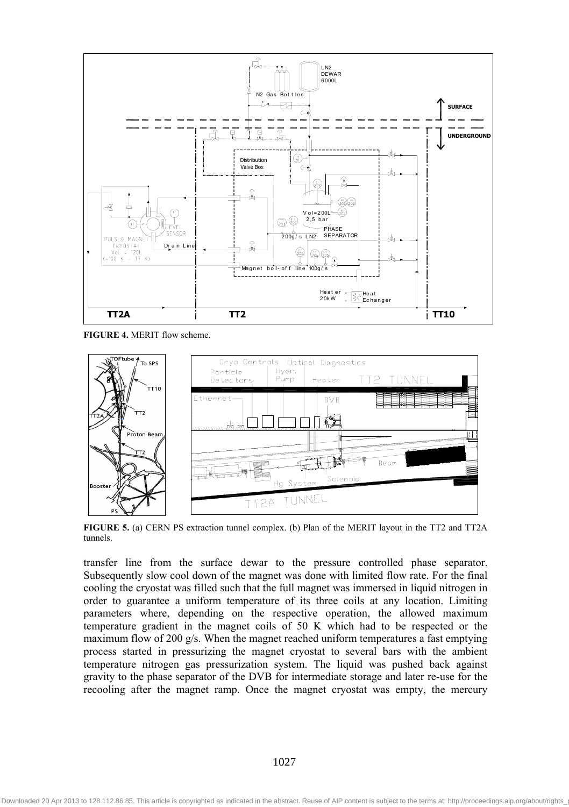

**FIGURE 4.** MERIT flow scheme.



**FIGURE 5.** (a) CERN PS extraction tunnel complex. (b) Plan of the MERIT layout in the TT2 and TT2A tunnels.

transfer line from the surface dewar to the pressure controlled phase separator. Subsequently slow cool down of the magnet was done with limited flow rate. For the final cooling the cryostat was filled such that the full magnet was immersed in liquid nitrogen in order to guarantee a uniform temperature of its three coils at any location. Limiting parameters where, depending on the respective operation, the allowed maximum temperature gradient in the magnet coils of 50 K which had to be respected or the maximum flow of 200 g/s. When the magnet reached uniform temperatures a fast emptying process started in pressurizing the magnet cryostat to several bars with the ambient temperature nitrogen gas pressurization system. The liquid was pushed back against gravity to the phase separator of the DVB for intermediate storage and later re-use for the recooling after the magnet ramp. Once the magnet cryostat was empty, the mercury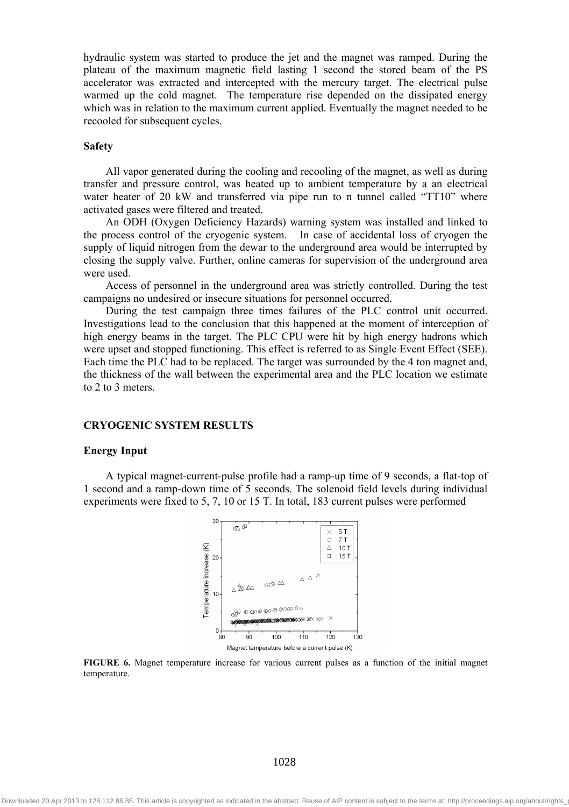hydraulic system was started to produce the jet and the magnet was ramped. During the plateau of the maximum magnetic field lasting 1 second the stored beam of the PS accelerator was extracted and intercepted with the mercury target. The electrical pulse warmed up the cold magnet. The temperature rise depended on the dissipated energy which was in relation to the maximum current applied. Eventually the magnet needed to be recooled for subsequent cycles.

#### **Safety**

All vapor generated during the cooling and recooling of the magnet, as well as during transfer and pressure control, was heated up to ambient temperature by a an electrical water heater of 20 kW and transferred via pipe run to n tunnel called "TT10" where activated gases were filtered and treated.

An ODH (Oxygen Deficiency Hazards) warning system was installed and linked to the process control of the cryogenic system. In case of accidental loss of cryogen the supply of liquid nitrogen from the dewar to the underground area would be interrupted by closing the supply valve. Further, online cameras for supervision of the underground area were used.

Access of personnel in the underground area was strictly controlled. During the test campaigns no undesired or insecure situations for personnel occurred.

During the test campaign three times failures of the PLC control unit occurred. Investigations lead to the conclusion that this happened at the moment of interception of high energy beams in the target. The PLC CPU were hit by high energy hadrons which were upset and stopped functioning. This effect is referred to as Single Event Effect (SEE). Each time the PLC had to be replaced. The target was surrounded by the 4 ton magnet and, the thickness of the wall between the experimental area and the PLC location we estimate to 2 to 3 meters.

## **CRYOGENIC SYSTEM RESULTS**

#### **Energy Input**

A typical magnet-current-pulse profile had a ramp-up time of 9 seconds, a flat-top of 1 second and a ramp-down time of 5 seconds. The solenoid field levels during individual experiments were fixed to 5, 7, 10 or 15 T. In total, 183 current pulses were performed



**FIGURE 6.** Magnet temperature increase for various current pulses as a function of the initial magnet temperature.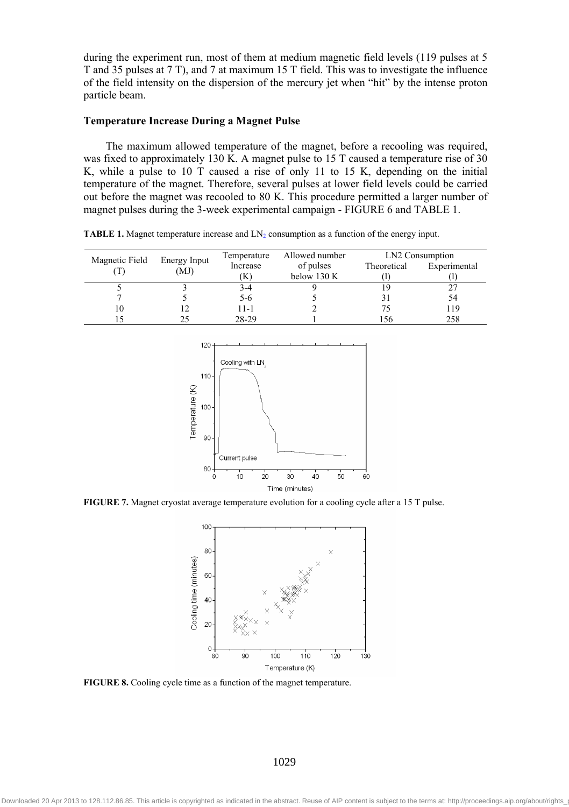during the experiment run, most of them at medium magnetic field levels (119 pulses at 5 T and 35 pulses at 7 T), and 7 at maximum 15 T field. This was to investigate the influence of the field intensity on the dispersion of the mercury jet when "hit" by the intense proton particle beam.

## **Temperature Increase During a Magnet Pulse**

The maximum allowed temperature of the magnet, before a recooling was required, was fixed to approximately 130 K. A magnet pulse to 15 T caused a temperature rise of 30 K, while a pulse to 10 T caused a rise of only 11 to 15 K, depending on the initial temperature of the magnet. Therefore, several pulses at lower field levels could be carried out before the magnet was recooled to 80 K. This procedure permitted a larger number of magnet pulses during the 3-week experimental campaign - FIGURE 6 and TABLE 1.

**TABLE 1.** Magnet temperature increase and  $LN<sub>2</sub>$  consumption as a function of the energy input.

| Magnetic Field | Energy Input<br>(MJ) | Temperature | Allowed number | LN2 Consumption |              |
|----------------|----------------------|-------------|----------------|-----------------|--------------|
|                |                      | Increase    | of pulses      | Theoretical     | Experimental |
|                |                      | 'K)         | below 130 K    |                 |              |
|                |                      | 3-4         |                |                 |              |
|                |                      | 5-6         |                |                 | 54           |
| 10             |                      | $11 - 1$    |                | 75              | 119          |
|                |                      | 28-29       |                | l 56            | 258          |



**FIGURE 7.** Magnet cryostat average temperature evolution for a cooling cycle after a 15 T pulse.



**FIGURE 8.** Cooling cycle time as a function of the magnet temperature.

1029